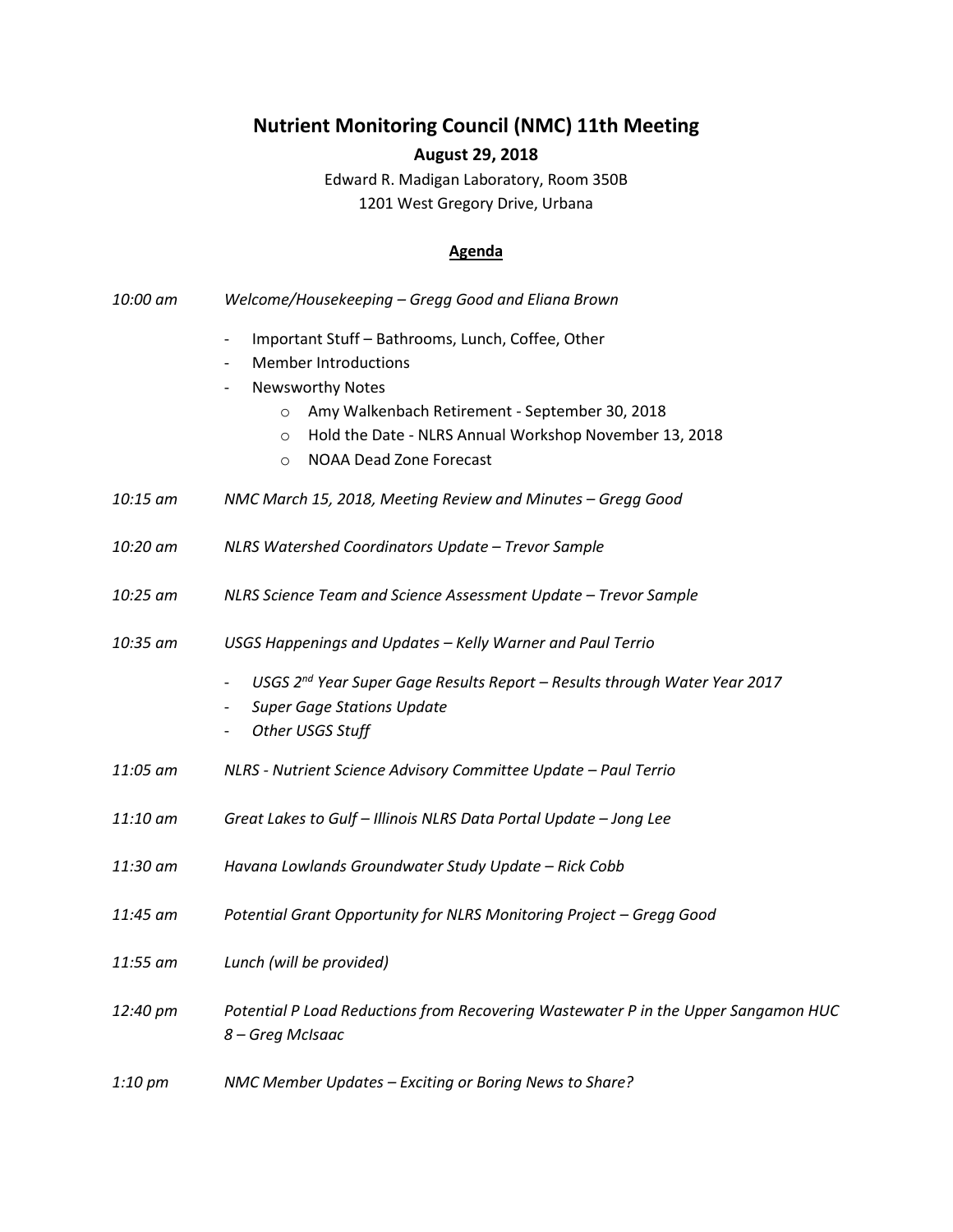## **Nutrient Monitoring Council (NMC) 11th Meeting August 29, 2018**

Edward R. Madigan Laboratory, Room 350B 1201 West Gregory Drive, Urbana

## **Agenda**

| 10:00 am           | Welcome/Housekeeping - Gregg Good and Eliana Brown                                                                |
|--------------------|-------------------------------------------------------------------------------------------------------------------|
|                    | Important Stuff - Bathrooms, Lunch, Coffee, Other<br>$\overline{\phantom{a}}$                                     |
|                    | <b>Member Introductions</b><br>$\overline{\phantom{a}}$                                                           |
|                    | <b>Newsworthy Notes</b><br>$\overline{\phantom{a}}$                                                               |
|                    | Amy Walkenbach Retirement - September 30, 2018<br>$\circ$                                                         |
|                    | Hold the Date - NLRS Annual Workshop November 13, 2018<br>$\circ$                                                 |
|                    | <b>NOAA Dead Zone Forecast</b><br>$\circ$                                                                         |
| 10:15 am           | NMC March 15, 2018, Meeting Review and Minutes - Gregg Good                                                       |
| 10:20 am           | NLRS Watershed Coordinators Update - Trevor Sample                                                                |
| 10:25 am           | NLRS Science Team and Science Assessment Update - Trevor Sample                                                   |
| 10:35 am           | USGS Happenings and Updates - Kelly Warner and Paul Terrio                                                        |
|                    | USGS 2 <sup>nd</sup> Year Super Gage Results Report - Results through Water Year 2017<br>$\overline{\phantom{a}}$ |
|                    | <b>Super Gage Stations Update</b><br>$\overline{\phantom{a}}$                                                     |
|                    | Other USGS Stuff<br>-                                                                                             |
| 11:05 am           | NLRS - Nutrient Science Advisory Committee Update - Paul Terrio                                                   |
| 11:10 am           | Great Lakes to Gulf - Illinois NLRS Data Portal Update - Jong Lee                                                 |
| 11:30 am           | Havana Lowlands Groundwater Study Update - Rick Cobb                                                              |
| 11:45 am           | Potential Grant Opportunity for NLRS Monitoring Project - Gregg Good                                              |
| 11:55 am           | Lunch (will be provided)                                                                                          |
| 12:40 pm           | Potential P Load Reductions from Recovering Wastewater P in the Upper Sangamon HUC<br>8 - Greg McIsaac            |
| $1:10~\mathrm{pm}$ | NMC Member Updates - Exciting or Boring News to Share?                                                            |